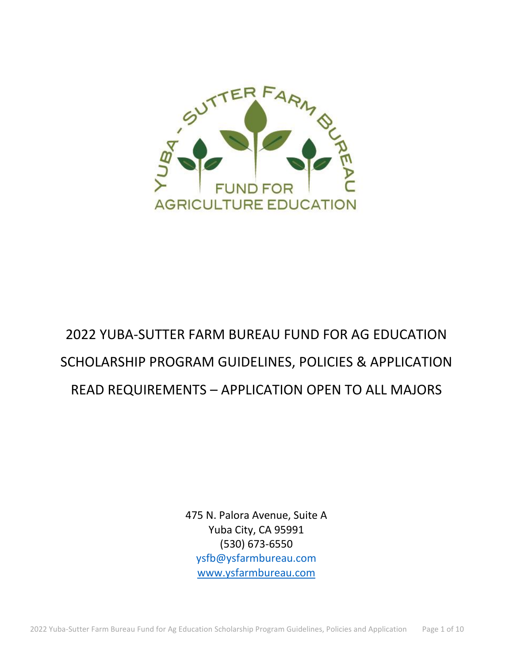

# 2022 YUBA-SUTTER FARM BUREAU FUND FOR AG EDUCATION SCHOLARSHIP PROGRAM GUIDELINES, POLICIES & APPLICATION READ REQUIREMENTS – APPLICATION OPEN TO ALL MAJORS

475 N. Palora Avenue, Suite A Yuba City, CA 95991 (530) 673-6550 [ysfb@ysfarmbureau.com](mailto:ysfb@ysfarmbureau.com) [www.ysfarmbureau.com](http://www.ysfarmbureau.com/)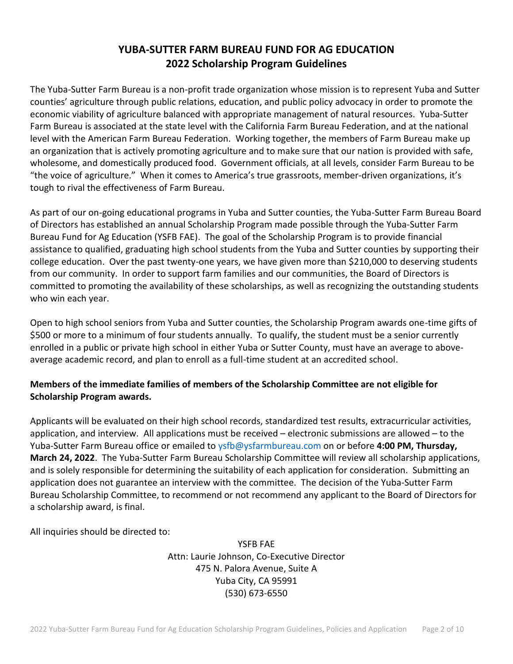# **YUBA-SUTTER FARM BUREAU FUND FOR AG EDUCATION 2022 Scholarship Program Guidelines**

The Yuba-Sutter Farm Bureau is a non-profit trade organization whose mission is to represent Yuba and Sutter counties' agriculture through public relations, education, and public policy advocacy in order to promote the economic viability of agriculture balanced with appropriate management of natural resources. Yuba-Sutter Farm Bureau is associated at the state level with the California Farm Bureau Federation, and at the national level with the American Farm Bureau Federation. Working together, the members of Farm Bureau make up an organization that is actively promoting agriculture and to make sure that our nation is provided with safe, wholesome, and domestically produced food. Government officials, at all levels, consider Farm Bureau to be "the voice of agriculture." When it comes to America's true grassroots, member-driven organizations, it's tough to rival the effectiveness of Farm Bureau.

As part of our on-going educational programs in Yuba and Sutter counties, the Yuba-Sutter Farm Bureau Board of Directors has established an annual Scholarship Program made possible through the Yuba-Sutter Farm Bureau Fund for Ag Education (YSFB FAE). The goal of the Scholarship Program is to provide financial assistance to qualified, graduating high school students from the Yuba and Sutter counties by supporting their college education. Over the past twenty-one years, we have given more than \$210,000 to deserving students from our community. In order to support farm families and our communities, the Board of Directors is committed to promoting the availability of these scholarships, as well as recognizing the outstanding students who win each year.

Open to high school seniors from Yuba and Sutter counties, the Scholarship Program awards one-time gifts of \$500 or more to a minimum of four students annually. To qualify, the student must be a senior currently enrolled in a public or private high school in either Yuba or Sutter County, must have an average to aboveaverage academic record, and plan to enroll as a full-time student at an accredited school.

# **Members of the immediate families of members of the Scholarship Committee are not eligible for Scholarship Program awards.**

Applicants will be evaluated on their high school records, standardized test results, extracurricular activities, application, and interview. All applications must be received – electronic submissions are allowed – to the Yuba-Sutter Farm Bureau office or emailed to [ysfb@ysfarmbureau.com](mailto:ysfb@ysfarmbureau.com) on or before **4:00 PM, Thursday, March 24, 2022**. The Yuba-Sutter Farm Bureau Scholarship Committee will review all scholarship applications, and is solely responsible for determining the suitability of each application for consideration. Submitting an application does not guarantee an interview with the committee. The decision of the Yuba-Sutter Farm Bureau Scholarship Committee, to recommend or not recommend any applicant to the Board of Directors for a scholarship award, is final.

All inquiries should be directed to:

YSFB FAE Attn: Laurie Johnson, Co-Executive Director 475 N. Palora Avenue, Suite A Yuba City, CA 95991 (530) 673-6550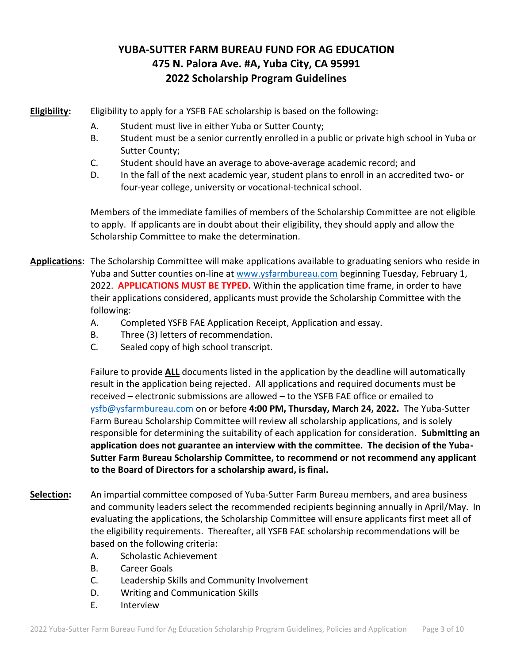# **YUBA-SUTTER FARM BUREAU FUND FOR AG EDUCATION 475 N. Palora Ave. #A, Yuba City, CA 95991 2022 Scholarship Program Guidelines**

**Eligibility:** Eligibility to apply for a YSFB FAE scholarship is based on the following:

- A. Student must live in either Yuba or Sutter County;
- B. Student must be a senior currently enrolled in a public or private high school in Yuba or Sutter County;
- C. Student should have an average to above-average academic record; and
- D. In the fall of the next academic year, student plans to enroll in an accredited two- or four-year college, university or vocational-technical school.

Members of the immediate families of members of the Scholarship Committee are not eligible to apply. If applicants are in doubt about their eligibility, they should apply and allow the Scholarship Committee to make the determination.

**Applications:** The Scholarship Committee will make applications available to graduating seniors who reside in Yuba and Sutter counties on-line at [www.ysfarmbureau.com](http://www.ysfarmbureau.com/) beginning Tuesday, February 1, 2022. **APPLICATIONS MUST BE TYPED.** Within the application time frame, in order to have their applications considered, applicants must provide the Scholarship Committee with the following:

- A. Completed YSFB FAE Application Receipt, Application and essay.
- B. Three (3) letters of recommendation.
- C. Sealed copy of high school transcript.

Failure to provide **ALL** documents listed in the application by the deadline will automatically result in the application being rejected. All applications and required documents must be received – electronic submissions are allowed – to the YSFB FAE office or emailed to [ysfb@ysfarmbureau.com](mailto:ysfb@ysfarmbureau.com) on or before **4:00 PM, Thursday, March 24, 2022.** The Yuba-Sutter Farm Bureau Scholarship Committee will review all scholarship applications, and is solely responsible for determining the suitability of each application for consideration. **Submitting an application does not guarantee an interview with the committee. The decision of the Yuba-Sutter Farm Bureau Scholarship Committee, to recommend or not recommend any applicant to the Board of Directors for a scholarship award, is final.**

- **Selection:** An impartial committee composed of Yuba-Sutter Farm Bureau members, and area business and community leaders select the recommended recipients beginning annually in April/May. In evaluating the applications, the Scholarship Committee will ensure applicants first meet all of the eligibility requirements. Thereafter, all YSFB FAE scholarship recommendations will be based on the following criteria:
	- A. Scholastic Achievement
	- B. Career Goals
	- C. Leadership Skills and Community Involvement
	- D. Writing and Communication Skills
	- E. Interview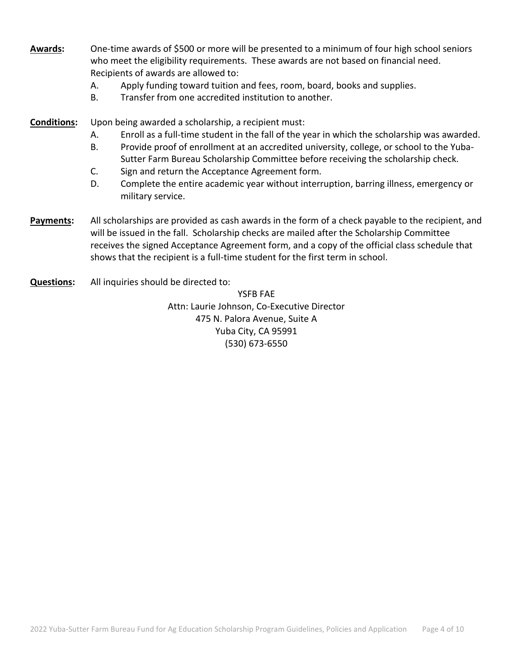- **Awards:** One-time awards of \$500 or more will be presented to a minimum of four high school seniors who meet the eligibility requirements. These awards are not based on financial need. Recipients of awards are allowed to:
	- A. Apply funding toward tuition and fees, room, board, books and supplies.
	- B. Transfer from one accredited institution to another.
- **Conditions:** Upon being awarded a scholarship, a recipient must:
	- A. Enroll as a full-time student in the fall of the year in which the scholarship was awarded.
	- B. Provide proof of enrollment at an accredited university, college, or school to the Yuba-Sutter Farm Bureau Scholarship Committee before receiving the scholarship check.
	- C. Sign and return the Acceptance Agreement form.
	- D. Complete the entire academic year without interruption, barring illness, emergency or military service.
- **Payments:** All scholarships are provided as cash awards in the form of a check payable to the recipient, and will be issued in the fall. Scholarship checks are mailed after the Scholarship Committee receives the signed Acceptance Agreement form, and a copy of the official class schedule that shows that the recipient is a full-time student for the first term in school.
- **Questions:** All inquiries should be directed to:

YSFB FAE Attn: Laurie Johnson, Co-Executive Director 475 N. Palora Avenue, Suite A Yuba City, CA 95991 (530) 673-6550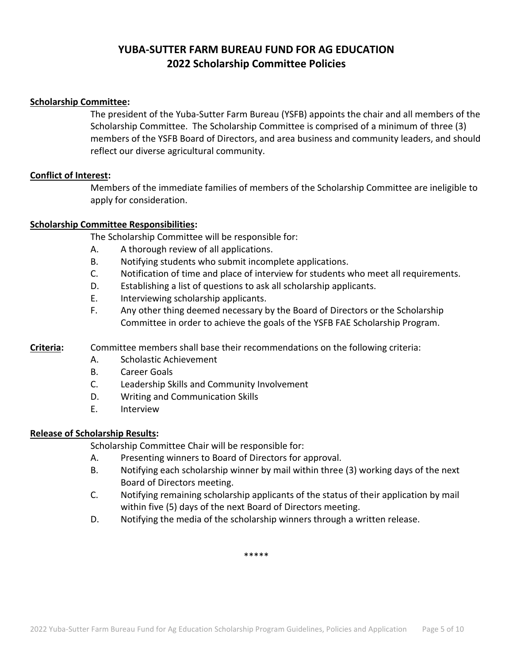# **YUBA-SUTTER FARM BUREAU FUND FOR AG EDUCATION 2022 Scholarship Committee Policies**

### **Scholarship Committee:**

The president of the Yuba-Sutter Farm Bureau (YSFB) appoints the chair and all members of the Scholarship Committee. The Scholarship Committee is comprised of a minimum of three (3) members of the YSFB Board of Directors, and area business and community leaders, and should reflect our diverse agricultural community.

### **Conflict of Interest:**

Members of the immediate families of members of the Scholarship Committee are ineligible to apply for consideration.

### **Scholarship Committee Responsibilities:**

The Scholarship Committee will be responsible for:

- A. A thorough review of all applications.
- B. Notifying students who submit incomplete applications.
- C. Notification of time and place of interview for students who meet all requirements.
- D. Establishing a list of questions to ask all scholarship applicants.
- E. Interviewing scholarship applicants.
- F. Any other thing deemed necessary by the Board of Directors or the Scholarship Committee in order to achieve the goals of the YSFB FAE Scholarship Program.

### **Criteria:** Committee members shall base their recommendations on the following criteria:

- A. Scholastic Achievement
- B. Career Goals
- C. Leadership Skills and Community Involvement
- D. Writing and Communication Skills
- E. Interview

### **Release of Scholarship Results:**

Scholarship Committee Chair will be responsible for:

- A. Presenting winners to Board of Directors for approval.
- B. Notifying each scholarship winner by mail within three (3) working days of the next Board of Directors meeting.
- C. Notifying remaining scholarship applicants of the status of their application by mail within five (5) days of the next Board of Directors meeting.
- D. Notifying the media of the scholarship winners through a written release.

\*\*\*\*\*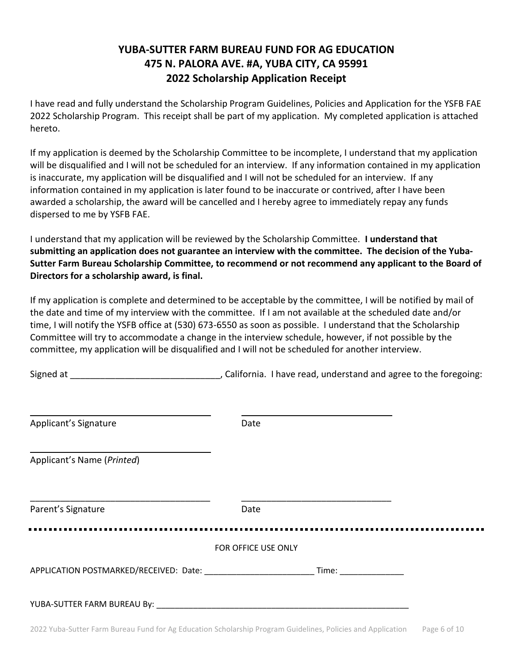# **YUBA-SUTTER FARM BUREAU FUND FOR AG EDUCATION 475 N. PALORA AVE. #A, YUBA CITY, CA 95991 2022 Scholarship Application Receipt**

I have read and fully understand the Scholarship Program Guidelines, Policies and Application for the YSFB FAE 2022 Scholarship Program. This receipt shall be part of my application. My completed application is attached hereto.

If my application is deemed by the Scholarship Committee to be incomplete, I understand that my application will be disqualified and I will not be scheduled for an interview. If any information contained in my application is inaccurate, my application will be disqualified and I will not be scheduled for an interview. If any information contained in my application is later found to be inaccurate or contrived, after I have been awarded a scholarship, the award will be cancelled and I hereby agree to immediately repay any funds dispersed to me by YSFB FAE.

I understand that my application will be reviewed by the Scholarship Committee. **I understand that submitting an application does not guarantee an interview with the committee. The decision of the Yuba-Sutter Farm Bureau Scholarship Committee, to recommend or not recommend any applicant to the Board of Directors for a scholarship award, is final.**

If my application is complete and determined to be acceptable by the committee, I will be notified by mail of the date and time of my interview with the committee. If I am not available at the scheduled date and/or time, I will notify the YSFB office at (530) 673-6550 as soon as possible. I understand that the Scholarship Committee will try to accommodate a change in the interview schedule, however, if not possible by the committee, my application will be disqualified and I will not be scheduled for another interview.

Signed at \_\_\_\_\_\_\_\_\_\_\_\_\_\_\_\_\_\_\_\_\_\_\_\_\_\_\_\_\_\_, California. I have read, understand and agree to the foregoing:

| Applicant's Signature                  | Date                |  |
|----------------------------------------|---------------------|--|
| Applicant's Name (Printed)             |                     |  |
| Parent's Signature                     | Date                |  |
|                                        | FOR OFFICE USE ONLY |  |
| APPLICATION POSTMARKED/RECEIVED: Date: |                     |  |
|                                        |                     |  |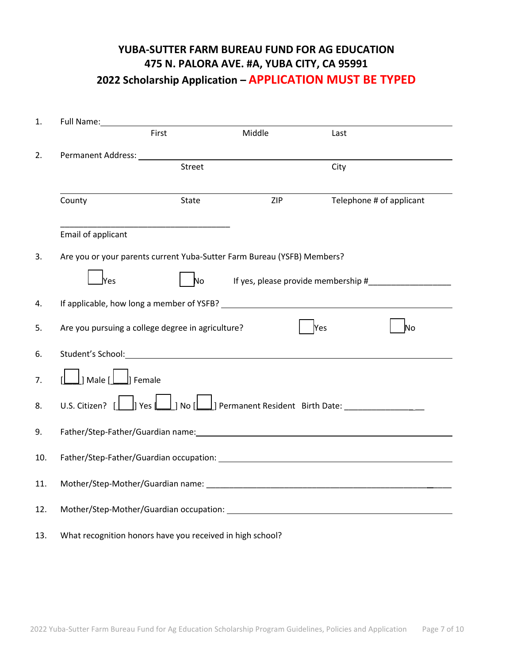# **YUBA-SUTTER FARM BUREAU FUND FOR AG EDUCATION 475 N. PALORA AVE. #A, YUBA CITY, CA 95991 2022 Scholarship Application – APPLICATION MUST BE TYPED**

| 1.  | Full Name: The Contract of the Contract of the Contract of the Contract of the Contract of the Contract of the Contract of the Contract of the Contract of the Contract of the Contract of the Contract of the Contract of the |                                                           |                                                                         |                                     |  |  |
|-----|--------------------------------------------------------------------------------------------------------------------------------------------------------------------------------------------------------------------------------|-----------------------------------------------------------|-------------------------------------------------------------------------|-------------------------------------|--|--|
|     |                                                                                                                                                                                                                                | First                                                     | Middle                                                                  | Last                                |  |  |
| 2.  |                                                                                                                                                                                                                                |                                                           |                                                                         |                                     |  |  |
|     |                                                                                                                                                                                                                                | Street                                                    |                                                                         | City                                |  |  |
|     |                                                                                                                                                                                                                                |                                                           |                                                                         |                                     |  |  |
|     | County                                                                                                                                                                                                                         | State                                                     | ZIP                                                                     | Telephone # of applicant            |  |  |
|     |                                                                                                                                                                                                                                |                                                           |                                                                         |                                     |  |  |
|     | Email of applicant                                                                                                                                                                                                             |                                                           |                                                                         |                                     |  |  |
| 3.  |                                                                                                                                                                                                                                |                                                           | Are you or your parents current Yuba-Sutter Farm Bureau (YSFB) Members? |                                     |  |  |
|     | lYes                                                                                                                                                                                                                           | No                                                        |                                                                         | If yes, please provide membership # |  |  |
| 4.  |                                                                                                                                                                                                                                |                                                           |                                                                         |                                     |  |  |
|     |                                                                                                                                                                                                                                |                                                           |                                                                         |                                     |  |  |
| 5.  | <b>Yes</b><br><b>No</b><br>Are you pursuing a college degree in agriculture?                                                                                                                                                   |                                                           |                                                                         |                                     |  |  |
| 6.  |                                                                                                                                                                                                                                |                                                           |                                                                         |                                     |  |  |
| 7.  | $\Box$ ] Male [ $\Box$ Female                                                                                                                                                                                                  |                                                           |                                                                         |                                     |  |  |
| 8.  | U.S. Citizen? [10] Yes 10] No [20] Permanent Resident Birth Date: ______________                                                                                                                                               |                                                           |                                                                         |                                     |  |  |
| 9.  |                                                                                                                                                                                                                                |                                                           |                                                                         |                                     |  |  |
| 10. |                                                                                                                                                                                                                                |                                                           |                                                                         |                                     |  |  |
| 11. |                                                                                                                                                                                                                                |                                                           |                                                                         |                                     |  |  |
| 12. |                                                                                                                                                                                                                                |                                                           |                                                                         |                                     |  |  |
| 13. |                                                                                                                                                                                                                                | What recognition honors have you received in high school? |                                                                         |                                     |  |  |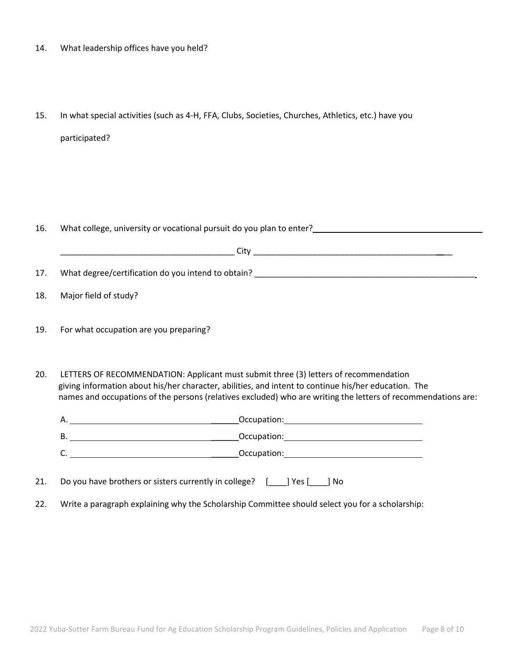15. In what special activities (such as 4-H, FFA, Clubs, Societies, Churches, Athletics, etc.) have you participated?

| 16. | What college, university or vocational pursuit do you plan to enter?<br>                                                                                                                                                                                                                                      |  |  |  |  |
|-----|---------------------------------------------------------------------------------------------------------------------------------------------------------------------------------------------------------------------------------------------------------------------------------------------------------------|--|--|--|--|
|     |                                                                                                                                                                                                                                                                                                               |  |  |  |  |
| 17. |                                                                                                                                                                                                                                                                                                               |  |  |  |  |
| 18. | Major field of study?                                                                                                                                                                                                                                                                                         |  |  |  |  |
| 19. | For what occupation are you preparing?                                                                                                                                                                                                                                                                        |  |  |  |  |
| 20. | LETTERS OF RECOMMENDATION: Applicant must submit three (3) letters of recommendation<br>giving information about his/her character, abilities, and intent to continue his/her education. The<br>names and occupations of the persons (relatives excluded) who are writing the letters of recommendations are: |  |  |  |  |
|     |                                                                                                                                                                                                                                                                                                               |  |  |  |  |
|     |                                                                                                                                                                                                                                                                                                               |  |  |  |  |
|     |                                                                                                                                                                                                                                                                                                               |  |  |  |  |
| 21. | Do you have brothers or sisters currently in college? [ ] Yes [ ] No                                                                                                                                                                                                                                          |  |  |  |  |

22. Write a paragraph explaining why the Scholarship Committee should select you for a scholarship: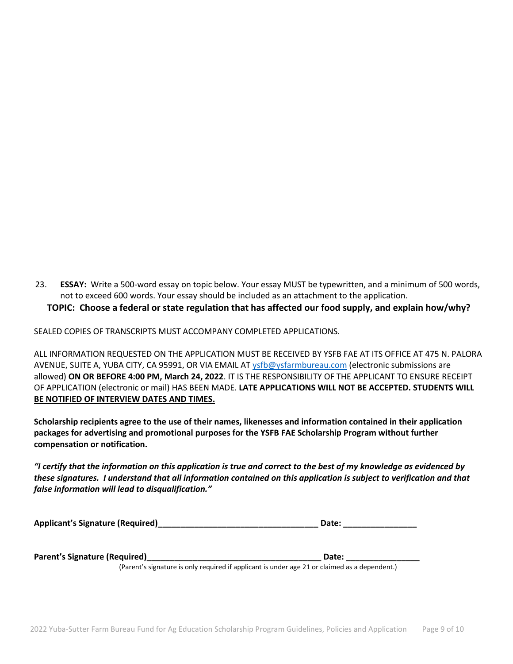23. **ESSAY:** Write a 500-word essay on topic below. Your essay MUST be typewritten, and a minimum of 500 words, not to exceed 600 words. Your essay should be included as an attachment to the application. **TOPIC: Choose a federal or state regulation that has affected our food supply, and explain how/why?**

SEALED COPIES OF TRANSCRIPTS MUST ACCOMPANY COMPLETED APPLICATIONS.

ALL INFORMATION REQUESTED ON THE APPLICATION MUST BE RECEIVED BY YSFB FAE AT ITS OFFICE AT 475 N. PALORA AVENUE, SUITE A, YUBA CITY, CA 95991, OR VIA EMAIL A[T ysfb@ysfarmbureau.com](mailto:ysfb@ysfarmbureau.com) (electronic submissions are allowed) **ON OR BEFORE 4:00 PM, March 24, 2022**. IT IS THE RESPONSIBILITY OF THE APPLICANT TO ENSURE RECEIPT OF APPLICATION (electronic or mail) HAS BEEN MADE. **LATE APPLICATIONS WILL NOT BE ACCEPTED. STUDENTS WILL BE NOTIFIED OF INTERVIEW DATES AND TIMES.**

**Scholarship recipients agree to the use of their names, likenesses and information contained in their application packages for advertising and promotional purposes for the YSFB FAE Scholarship Program without further compensation or notification.** 

*"I certify that the information on this application is true and correct to the best of my knowledge as evidenced by these signatures. I understand that all information contained on this application is subject to verification and that false information will lead to disqualification."*

| <b>Applicant's Signature (Required)</b> | <b>Date:</b> |
|-----------------------------------------|--------------|
|                                         |              |

**Parent's Signature (Required)\_\_\_\_\_\_\_\_\_\_\_\_\_\_\_\_\_\_\_\_\_\_\_\_\_\_\_\_\_\_\_\_\_\_\_\_\_\_ Date: \_\_\_\_\_\_\_\_\_\_\_\_\_\_\_\_**

(Parent's signature is only required if applicant is under age 21 or claimed as a dependent.)